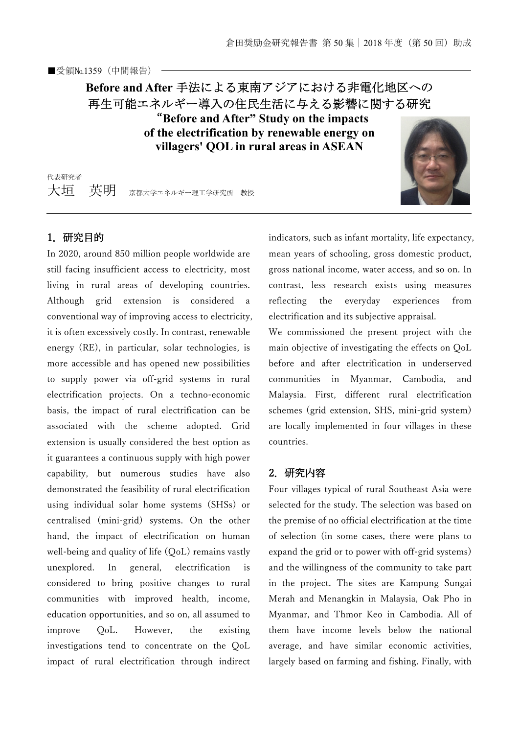# **Before and After** 手法による東南アジアにおける非電化地区への 再生可能エネルギー導入の住民生活に与える影響に関する研究 "**Before and After" Study on the impacts**

**of the electrification by renewable energy on villagers' QOL in rural areas in ASEAN** 

代表研究者 大垣 英明 京都大学エネルギー理工学研究所 教授



## 1.研究目的

In 2020, around 850 million people worldwide are still facing insufficient access to electricity, most living in rural areas of developing countries. Although grid extension is considered a conventional way of improving access to electricity, it is often excessively costly. In contrast, renewable energy (RE), in particular, solar technologies, is more accessible and has opened new possibilities to supply power via off-grid systems in rural electrification projects. On a techno-economic basis, the impact of rural electrification can be associated with the scheme adopted. Grid extension is usually considered the best option as it guarantees a continuous supply with high power capability, but numerous studies have also demonstrated the feasibility of rural electrification using individual solar home systems (SHSs) or centralised (mini-grid) systems. On the other hand, the impact of electrification on human well-being and quality of life (OoL) remains vastly unexplored. In general, electrification is considered to bring positive changes to rural communities with improved health, income, education opportunities, and so on, all assumed to improve QoL. However, the existing investigations tend to concentrate on the QoL impact of rural electrification through indirect

indicators, such as infant mortality, life expectancy, mean years of schooling, gross domestic product, gross national income, water access, and so on. In contrast, less research exists using measures reflecting the everyday experiences from electrification and its subjective appraisal.

We commissioned the present project with the main objective of investigating the effects on QoL before and after electrification in underserved communities in Myanmar, Cambodia, and Malaysia. First, different rural electrification schemes (grid extension, SHS, mini-grid system) are locally implemented in four villages in these countries.

## 2.研究内容

Four villages typical of rural Southeast Asia were selected for the study. The selection was based on the premise of no official electrification at the time of selection (in some cases, there were plans to expand the grid or to power with off-grid systems) and the willingness of the community to take part in the project. The sites are Kampung Sungai Merah and Menangkin in Malaysia, Oak Pho in Myanmar, and Thmor Keo in Cambodia. All of them have income levels below the national average, and have similar economic activities, largely based on farming and fishing. Finally, with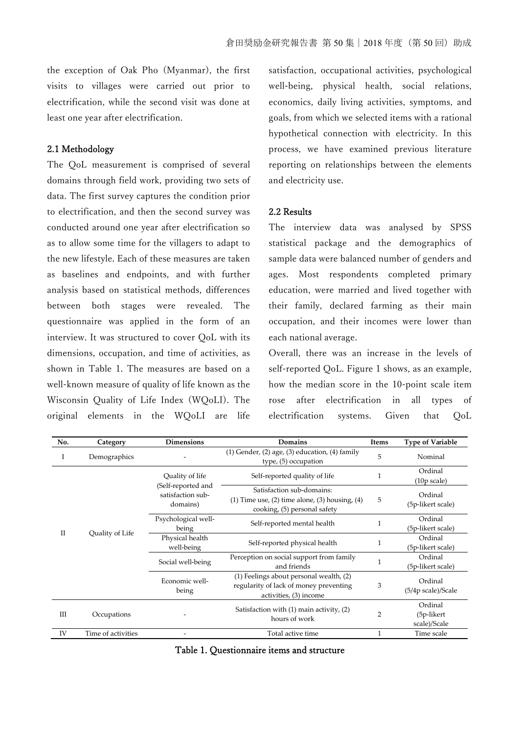the exception of Oak Pho (Myanmar), the first visits to villages were carried out prior to electrification, while the second visit was done at least one year after electrification.

#### 2.1 Methodology

The QoL measurement is comprised of several domains through field work, providing two sets of data. The first survey captures the condition prior to electrification, and then the second survey was conducted around one year after electrification so as to allow some time for the villagers to adapt to the new lifestyle. Each of these measures are taken as baselines and endpoints, and with further analysis based on statistical methods, differences between both stages were revealed. The questionnaire was applied in the form of an interview. It was structured to cover QoL with its dimensions, occupation, and time of activities, as shown in Table 1. The measures are based on a well-known measure of quality of life known as the Wisconsin Quality of Life Index (WQoLI). The original elements in the WQoLI are life satisfaction, occupational activities, psychological well-being, physical health, social relations, economics, daily living activities, symptoms, and goals, from which we selected items with a rational hypothetical connection with electricity. In this process, we have examined previous literature reporting on relationships between the elements and electricity use.

#### 2.2 Results

The interview data was analysed by SPSS statistical package and the demographics of sample data were balanced number of genders and ages. Most respondents completed primary education, were married and lived together with their family, declared farming as their main occupation, and their incomes were lower than each national average.

Overall, there was an increase in the levels of self-reported QoL. Figure 1 shows, as an example, how the median score in the 10-point scale item rose after electrification in all types of electrification systems. Given that QoL

| No. | Category           | <b>Dimensions</b>                                                      | <b>Domains</b>                                                                                                      | Items | <b>Type of Variable</b>                      |
|-----|--------------------|------------------------------------------------------------------------|---------------------------------------------------------------------------------------------------------------------|-------|----------------------------------------------|
| 1   | Demographics       |                                                                        | $(1)$ Gender, $(2)$ age, $(3)$ education, $(4)$ family<br>type, (5) occupation                                      | 5     | Nominal                                      |
|     | Quality of Life    | Quality of life<br>(Self-reported and<br>satisfaction sub-<br>domains) | Self-reported quality of life                                                                                       |       | Ordinal<br>(10p scale)                       |
|     |                    |                                                                        | Satisfaction sub-domains:<br>$(1)$ Time use, $(2)$ time alone, $(3)$ housing, $(4)$<br>cooking, (5) personal safety | 5     | Ordinal<br>(5p-likert scale)                 |
|     |                    | Psychological well-<br>being                                           | Self-reported mental health                                                                                         |       | Ordinal<br>(5p-likert scale)                 |
| П   |                    | Physical health<br>well-being                                          | Self-reported physical health                                                                                       |       | Ordinal<br>(5p-likert scale)                 |
|     |                    | Social well-being                                                      | Perception on social support from family<br>and friends                                                             |       | Ordinal<br>(5p-likert scale)                 |
|     |                    | Economic well-<br>being                                                | (1) Feelings about personal wealth, (2)<br>regularity of lack of money preventing<br>activities, (3) income         | 3     | Ordinal<br>(5/4p scale)/Scale                |
| Ш   | Occupations        |                                                                        | Satisfaction with (1) main activity, (2)<br>hours of work                                                           |       | Ordinal<br>$(5p-likelihood)$<br>scale)/Scale |
| IV  | Time of activities |                                                                        | Total active time                                                                                                   |       | Time scale                                   |

|  |  | Table 1. Questionnaire items and structure |
|--|--|--------------------------------------------|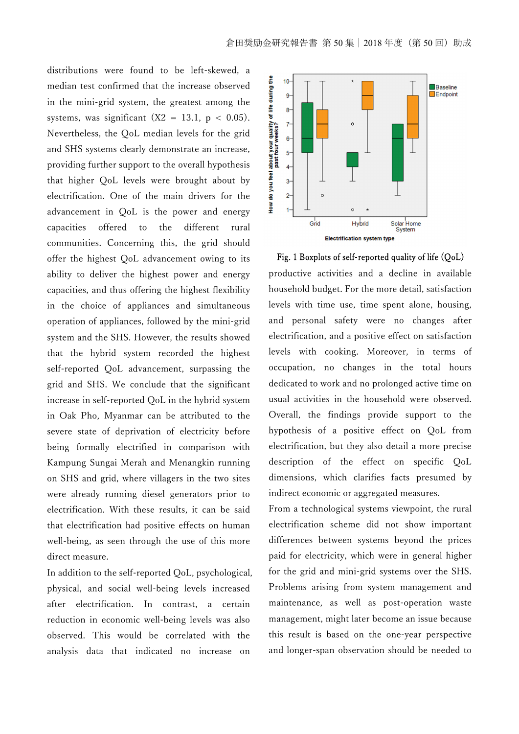distributions were found to be left-skewed, a median test confirmed that the increase observed in the mini-grid system, the greatest among the systems, was significant (X2 = 13.1,  $p < 0.05$ ). Nevertheless, the QoL median levels for the grid and SHS systems clearly demonstrate an increase, providing further support to the overall hypothesis that higher QoL levels were brought about by electrification. One of the main drivers for the advancement in QoL is the power and energy capacities offered to the different rural communities. Concerning this, the grid should offer the highest QoL advancement owing to its ability to deliver the highest power and energy capacities, and thus offering the highest flexibility in the choice of appliances and simultaneous operation of appliances, followed by the mini-grid system and the SHS. However, the results showed that the hybrid system recorded the highest self-reported QoL advancement, surpassing the grid and SHS. We conclude that the significant increase in self-reported QoL in the hybrid system in Oak Pho, Myanmar can be attributed to the severe state of deprivation of electricity before being formally electrified in comparison with Kampung Sungai Merah and Menangkin running on SHS and grid, where villagers in the two sites were already running diesel generators prior to electrification. With these results, it can be said that electrification had positive effects on human well-being, as seen through the use of this more direct measure.

In addition to the self-reported QoL, psychological, physical, and social well-being levels increased after electrification. In contrast, a certain reduction in economic well-being levels was also observed. This would be correlated with the analysis data that indicated no increase on



Fig. 1 Boxplots of self-reported quality of life  $(QoL)$ productive activities and a decline in available household budget. For the more detail, satisfaction levels with time use, time spent alone, housing, and personal safety were no changes after electrification, and a positive effect on satisfaction levels with cooking. Moreover, in terms of occupation, no changes in the total hours dedicated to work and no prolonged active time on usual activities in the household were observed. Overall, the findings provide support to the hypothesis of a positive effect on QoL from electrification, but they also detail a more precise description of the effect on specific QoL dimensions, which clarifies facts presumed by indirect economic or aggregated measures.

From a technological systems viewpoint, the rural electrification scheme did not show important differences between systems beyond the prices paid for electricity, which were in general higher for the grid and mini-grid systems over the SHS. Problems arising from system management and maintenance, as well as post-operation waste management, might later become an issue because this result is based on the one-year perspective and longer-span observation should be needed to